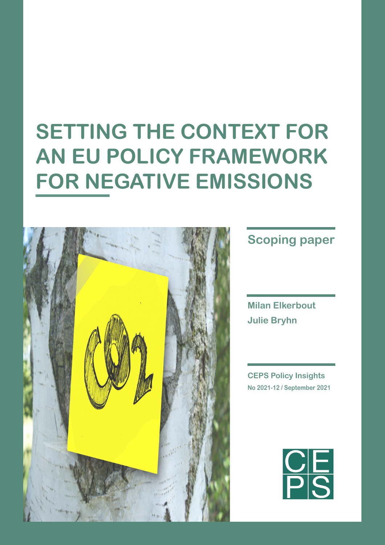# **SETTING THE CONTEXT FOR AN EU POLICY FRAMEWORK FOR NEGATIVE EMISSIONS**



# **Scoping paper**

**Milan Elkerbout Julie Bryhn**

**CEPS Policy Insights No 2021-12 / September 2021**

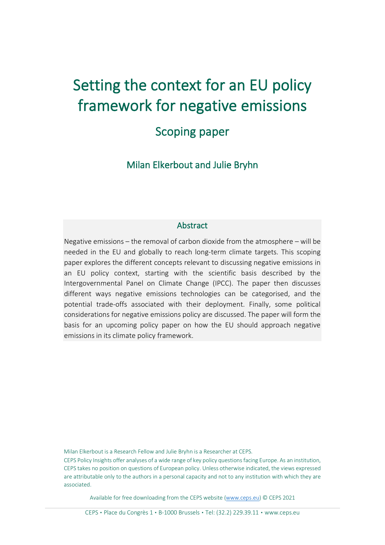# Setting the context for an EU policy framework for negative emissions

## Scoping paper

Milan Elkerbout and Julie Bryhn

#### **Abstract**

Negative emissions – the removal of carbon dioxide from the atmosphere – will be needed in the EU and globally to reach long-term climate targets. This scoping paper explores the different concepts relevant to discussing negative emissions in an EU policy context, starting with the scientific basis described by the Intergovernmental Panel on Climate Change (IPCC). The paper then discusses different ways negative emissions technologies can be categorised, and the potential trade-offs associated with their deployment. Finally, some political considerations for negative emissions policy are discussed. The paper will form the basis for an upcoming policy paper on how the EU should approach negative emissions in its climate policy framework.

Milan Elkerbout is a Research Fellow and Julie Bryhn is a Researcher at CEPS.

CEPS Policy Insights offer analyses of a wide range of key policy questions facing Europe. As an institution, CEPS takes no position on questions of European policy. Unless otherwise indicated, the views expressed are attributable only to the authors in a personal capacity and not to any institution with which they are associated.

Available for free downloading from the CEPS website [\(www.ceps.eu\)](http://www.ceps.eu/) © CEPS 2021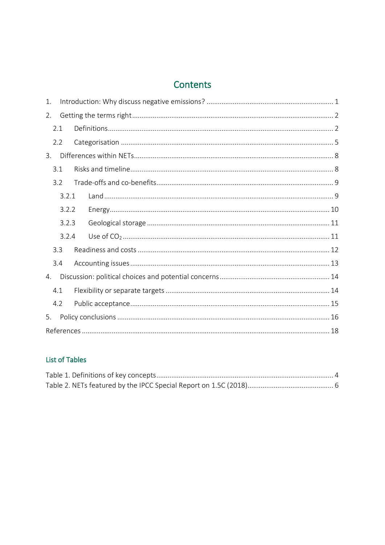### Contents

| 1.                    |       |  |  |  |  |
|-----------------------|-------|--|--|--|--|
| 2.                    |       |  |  |  |  |
|                       | 2.1   |  |  |  |  |
|                       | 2.2   |  |  |  |  |
| $\mathcal{B}_{\cdot}$ |       |  |  |  |  |
|                       | 3.1   |  |  |  |  |
|                       | 32    |  |  |  |  |
|                       | 3.2.1 |  |  |  |  |
|                       | 3.2.2 |  |  |  |  |
|                       | 3.2.3 |  |  |  |  |
|                       | 3.2.4 |  |  |  |  |
|                       | 3.3   |  |  |  |  |
|                       | 3.4   |  |  |  |  |
| 4.                    |       |  |  |  |  |
|                       | 4.1   |  |  |  |  |
|                       | 4.2   |  |  |  |  |
| 5.                    |       |  |  |  |  |
|                       |       |  |  |  |  |

#### List of Tables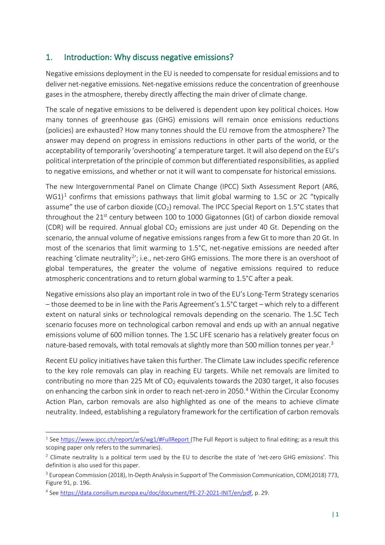#### <span id="page-3-0"></span>1. Introduction: Why discuss negative emissions?

Negative emissions deployment in the EU is needed to compensate for residual emissions and to deliver net-negative emissions. Net-negative emissions reduce the concentration of greenhouse gases in the atmosphere, thereby directly affecting the main driver of climate change.

The scale of negative emissions to be delivered is dependent upon key political choices. How many tonnes of greenhouse gas (GHG) emissions will remain once emissions reductions (policies) are exhausted? How many tonnes should the EU remove from the atmosphere? The answer may depend on progress in emissions reductions in other parts of the world, or the acceptability of temporarily 'overshooting' a temperature target. It will also depend on the EU's political interpretation of the principle of common but differentiated responsibilities, as applied to negative emissions, and whether or not it will want to compensate for historical emissions.

The new Intergovernmental Panel on Climate Change (IPCC) Sixth Assessment Report (AR6,  $WG1$  $WG1$ <sup>1</sup> confirms that emissions pathways that limit global warming to 1.5C or 2C "typically assume" the use of carbon dioxide (CO<sub>2</sub>) removal. The IPCC Special Report on 1.5°C states that throughout the  $21^{st}$  century between 100 to 1000 Gigatonnes (Gt) of carbon dioxide removal (CDR) will be required. Annual global  $CO<sub>2</sub>$  emissions are just under 40 Gt. Depending on the scenario, the annual volume of negative emissions ranges from a few Gt to more than 20 Gt. In most of the scenarios that limit warming to 1.5°C, net-negative emissions are needed after reaching 'climate neutrality<sup>[2](#page-3-2)</sup>'; i.e., net-zero GHG emissions. The more there is an overshoot of global temperatures, the greater the volume of negative emissions required to reduce atmospheric concentrations and to return global warming to 1.5°C after a peak.

Negative emissions also play an important role in two of the EU's Long-Term Strategy scenarios – those deemed to be in line with the Paris Agreement's 1.5°C target – which rely to a different extent on natural sinks or technological removals depending on the scenario. The 1.5C Tech scenario focuses more on technological carbon removal and ends up with an annual negative emissions volume of 600 million tonnes. The 1.5C LIFE scenario has a relatively greater focus on nature-based removals, with total removals at slightly more than 500 million tonnes per year.<sup>[3](#page-3-3)</sup>

Recent EU policy initiatives have taken this further. The Climate Law includes specific reference to the key role removals can play in reaching EU targets. While net removals are limited to contributing no more than 225 Mt of  $CO<sub>2</sub>$  equivalents towards the 2030 target, it also focuses on enhancing the carbon sink in order to reach net-zero in 2050.<sup>[4](#page-3-4)</sup> Within the Circular Economy Action Plan, carbon removals are also highlighted as one of the means to achieve climate neutrality. Indeed, establishing a regulatory framework for the certification of carbon removals

<span id="page-3-1"></span><sup>&</sup>lt;sup>1</sup> See <https://www.ipcc.ch/report/ar6/wg1/#FullReport> (The Full Report is subject to final editing; as a result this scoping paper only refers to the summaries).

<span id="page-3-2"></span> $<sup>2</sup>$  Climate neutrality is a political term used by the EU to describe the state of 'net-zero GHG emissions'. This</sup> definition is also used for this paper.

<span id="page-3-3"></span><sup>&</sup>lt;sup>3</sup> European Commission (2018), In-Depth Analysis in Support of The Commission Communication, COM(2018) 773, Figure 91, p. 196.

<span id="page-3-4"></span><sup>4</sup> See [https://data.consilium.europa.eu/doc/document/PE](https://data.consilium.europa.eu/doc/document/PE-27-2021-INIT/en/pdf)-27-2021-INIT/en/pdf, p. 29.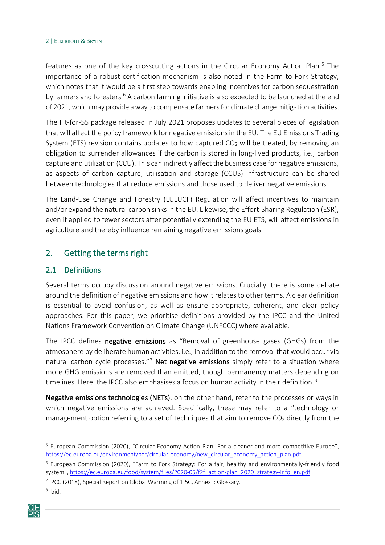features as one of the key crosscutting actions in the Circular Economy Action Plan.<sup>[5](#page-4-2)</sup> The importance of a robust certification mechanism is also noted in the Farm to Fork Strategy, which notes that it would be a first step towards enabling incentives for carbon sequestration by farmers and foresters.<sup>6</sup> A carbon farming initiative is also expected to be launched at the end of 2021, which may provide a way to compensate farmers for climate change mitigation activities.

The Fit-for-55 package released in July 2021 proposes updates to several pieces of legislation that will affect the policy framework for negative emissions in the EU. The EU Emissions Trading System (ETS) revision contains updates to how captured  $CO<sub>2</sub>$  will be treated, by removing an obligation to surrender allowances if the carbon is stored in long-lived products, i.e., carbon capture and utilization (CCU). This can indirectly affect the business case for negative emissions, as aspects of carbon capture, utilisation and storage (CCUS) infrastructure can be shared between technologies that reduce emissions and those used to deliver negative emissions.

The Land-Use Change and Forestry (LULUCF) Regulation will affect incentives to maintain and/or expand the natural carbon sinks in the EU. Likewise, the Effort-Sharing Regulation (ESR), even if applied to fewer sectors after potentially extending the EU ETS, will affect emissions in agriculture and thereby influence remaining negative emissions goals.

#### <span id="page-4-0"></span>2. Getting the terms right

#### <span id="page-4-1"></span>2.1 Definitions

Several terms occupy discussion around negative emissions. Crucially, there is some debate around the definition of negative emissions and how it relatesto other terms. A clear definition is essential to avoid confusion, as well as ensure appropriate, coherent, and clear policy approaches. For this paper, we prioritise definitions provided by the IPCC and the United Nations Framework Convention on Climate Change (UNFCCC) where available.

The IPCC defines negative emissions as "Removal of greenhouse gases (GHGs) from the atmosphere by deliberate human activities, i.e., in addition to the removal that would occur via natural carbon cycle processes."<sup>[7](#page-4-4)</sup> Net negative emissions simply refer to a situation where more GHG emissions are removed than emitted, though permanency matters depending on timelines. Here, the IPCC also emphasises a focus on human activity in their definition.<sup>[8](#page-4-5)</sup>

Negative emissions technologies (NETs), on the other hand, refer to the processes or ways in which negative emissions are achieved. Specifically, these may refer to a "technology or management option referring to a set of techniques that aim to remove  $CO<sub>2</sub>$  directly from the

<span id="page-4-5"></span><span id="page-4-4"></span><span id="page-4-3"></span><sup>8</sup> Ibid.



<span id="page-4-2"></span><sup>5</sup> European Commission (2020), "Circular Economy Action Plan: For a cleaner and more competitive Europe", https://ec.europa.eu/environment/pdf/circular-[economy/new\\_circular\\_economy\\_action\\_plan.pdf](https://ec.europa.eu/environment/pdf/circular-economy/new_circular_economy_action_plan.pdf)

 $6$  European Commission (2020), "Farm to Fork Strategy: For a fair, healthy and environmentally-friendly food system", [https://ec.europa.eu/food/system/files/2020](https://ec.europa.eu/food/system/files/2020-05/f2f_action-plan_2020_strategy-info_en.pdf)-05/f2f\_action-plan\_2020\_strategy-info\_en.pdf.

<sup>7</sup> IPCC (2018), Special Report on Global Warming of 1.5C, Annex I: Glossary.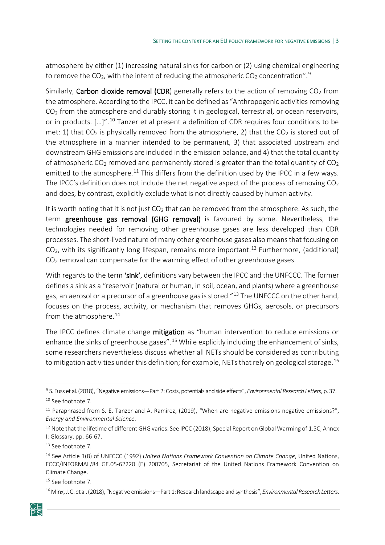atmosphere by either (1) increasing natural sinks for carbon or (2) using chemical engineering to remove the CO<sub>2</sub>, with the intent of reducing the atmospheric CO<sub>2</sub> concentration".<sup>[9](#page-5-0)</sup>

Similarly, Carbon dioxide removal (CDR) generally refers to the action of removing  $CO<sub>2</sub>$  from the atmosphere. According to the IPCC, it can be defined as "Anthropogenic activities removing  $CO<sub>2</sub>$  from the atmosphere and durably storing it in geological, terrestrial, or ocean reservoirs, or in products. [...]".<sup>[10](#page-5-1)</sup> Tanzer et al present a definition of CDR requires four conditions to be met: 1) that  $CO<sub>2</sub>$  is physically removed from the atmosphere, 2) that the  $CO<sub>2</sub>$  is stored out of the atmosphere in a manner intended to be permanent, 3) that associated upstream and downstream GHG emissions are included in the emission balance, and 4) that the total quantity of atmospheric  $CO_2$  removed and permanently stored is greater than the total quantity of  $CO_2$ emitted to the atmosphere.<sup>[11](#page-5-2)</sup> This differs from the definition used by the IPCC in a few ways. The IPCC's definition does not include the net negative aspect of the process of removing  $CO<sub>2</sub>$ and does, by contrast, explicitly exclude what is not directly caused by human activity.

It is worth noting that it is not just  $CO<sub>2</sub>$  that can be removed from the atmosphere. As such, the term greenhouse gas removal (GHG removal) is favoured by some. Nevertheless, the technologies needed for removing other greenhouse gases are less developed than CDR processes. The short-lived nature of many other greenhouse gases also means that focusing on  $CO<sub>2</sub>$ , with its significantly long lifespan, remains more important.<sup>[12](#page-5-3)</sup> Furthermore, (additional) CO2 removal can compensate for the warming effect of other greenhouse gases.

With regards to the term 'sink', definitions vary between the IPCC and the UNFCCC. The former defines a sink as a "reservoir (natural or human, in soil, ocean, and plants) where a greenhouse gas, an aerosol or a precursor of a greenhouse gas is stored."<sup>[13](#page-5-4)</sup> The UNFCCC on the other hand, focuses on the process, activity, or mechanism that removes GHGs, aerosols, or precursors from the atmosphere.<sup>[14](#page-5-5)</sup>

The IPCC defines climate change mitigation as "human intervention to reduce emissions or enhance the sinks of greenhouse gases".<sup>[15](#page-5-6)</sup> While explicitly including the enhancement of sinks, some researchers nevertheless discuss whether all NETs should be considered as contributing to mitigation activities under this definition; for example, NETs that rely on geological storage.<sup>[16](#page-5-7)</sup>

<span id="page-5-7"></span><span id="page-5-6"></span><sup>16</sup> Minx, J. C. et al.(2018), "Negative emissions—Part 1: Research landscape and synthesis",*Environmental Research Letters*.



<span id="page-5-1"></span><span id="page-5-0"></span><sup>9</sup> S. Fuss et al. (2018), "Negative emissions—Part 2: Costs, potentials and side effects", *Environmental Research Letters*, p. 37. <sup>10</sup> See footnote 7.

<span id="page-5-2"></span><sup>&</sup>lt;sup>11</sup> Paraphrased from S. E. Tanzer and A. Ramirez, (2019), "When are negative emissions negative emissions?", *Energy and Environmental Science*.

<span id="page-5-3"></span><sup>&</sup>lt;sup>12</sup> Note that the lifetime of different GHG varies. See IPCC (2018), Special Report on Global Warming of 1.5C, Annex I: Glossary. pp. 66-67.

<span id="page-5-4"></span><sup>&</sup>lt;sup>13</sup> See footnote 7.

<span id="page-5-5"></span><sup>14</sup> See Article 1(8) of UNFCCC (1992) *United Nations Framework Convention on Climate Change*, United Nations, FCCC/INFORMAL/84 GE.05-62220 (E) 200705, Secretariat of the United Nations Framework Convention on Climate Change.

<sup>&</sup>lt;sup>15</sup> See footnote 7.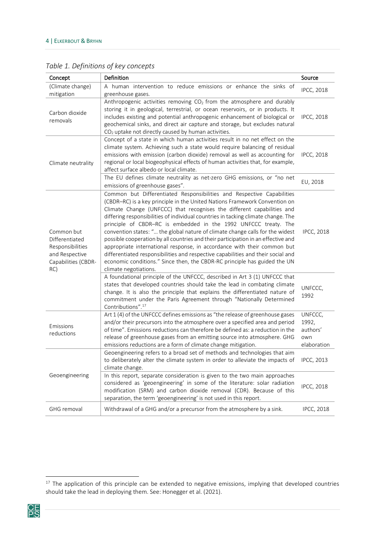| Concept                                                                                          | Definition                                                                                                                                                                                                                                                                                                                                                                                                                                                                                                                                                                                                                                                                                                                                                                                                                        | Source                                             |
|--------------------------------------------------------------------------------------------------|-----------------------------------------------------------------------------------------------------------------------------------------------------------------------------------------------------------------------------------------------------------------------------------------------------------------------------------------------------------------------------------------------------------------------------------------------------------------------------------------------------------------------------------------------------------------------------------------------------------------------------------------------------------------------------------------------------------------------------------------------------------------------------------------------------------------------------------|----------------------------------------------------|
| (Climate change)<br>mitigation                                                                   | A human intervention to reduce emissions or enhance the sinks of<br>greenhouse gases.                                                                                                                                                                                                                                                                                                                                                                                                                                                                                                                                                                                                                                                                                                                                             | <b>IPCC, 2018</b>                                  |
| Carbon dioxide<br>removals                                                                       | Anthropogenic activities removing $CO2$ from the atmosphere and durably<br>storing it in geological, terrestrial, or ocean reservoirs, or in products. It<br>includes existing and potential anthropogenic enhancement of biological or<br>geochemical sinks, and direct air capture and storage, but excludes natural<br>CO <sub>2</sub> uptake not directly caused by human activities.                                                                                                                                                                                                                                                                                                                                                                                                                                         | <b>IPCC, 2018</b>                                  |
| Climate neutrality                                                                               | Concept of a state in which human activities result in no net effect on the<br>climate system. Achieving such a state would require balancing of residual<br>emissions with emission (carbon dioxide) removal as well as accounting for<br>regional or local biogeophysical effects of human activities that, for example,<br>affect surface albedo or local climate.                                                                                                                                                                                                                                                                                                                                                                                                                                                             | <b>IPCC, 2018</b>                                  |
|                                                                                                  | The EU defines climate neutrality as net-zero GHG emissions, or "no net<br>emissions of greenhouse gases".                                                                                                                                                                                                                                                                                                                                                                                                                                                                                                                                                                                                                                                                                                                        | EU, 2018                                           |
| Common but<br>Differentiated<br>Responsibilities<br>and Respective<br>Capabilities (CBDR-<br>RC) | Common but Differentiated Responsibilities and Respective Capabilities<br>(CBDR-RC) is a key principle in the United Nations Framework Convention on<br>Climate Change (UNFCCC) that recognises the different capabilities and<br>differing responsibilities of individual countries in tacking climate change. The<br>principle of CBDR-RC is embedded in the 1992 UNFCCC treaty. The<br>convention states: " the global nature of climate change calls for the widest<br>possible cooperation by all countries and their participation in an effective and<br>appropriate international response, in accordance with their common but<br>differentiated responsibilities and respective capabilities and their social and<br>economic conditions." Since then, the CBDR-RC principle has guided the UN<br>climate negotiations. | <b>IPCC, 2018</b>                                  |
|                                                                                                  | A foundational principle of the UNFCCC, described in Art 3 (1) UNFCCC that<br>states that developed countries should take the lead in combating climate<br>change. It is also the principle that explains the differentiated nature of<br>commitment under the Paris Agreement through "Nationally Determined<br>Contributions". <sup>17</sup>                                                                                                                                                                                                                                                                                                                                                                                                                                                                                    | UNFCCC,<br>1992                                    |
| Emissions<br>reductions                                                                          | Art 1 (4) of the UNFCCC defines emissions as "the release of greenhouse gases<br>and/or their precursors into the atmosphere over a specified area and period<br>of time". Emissions reductions can therefore be defined as: a reduction in the<br>release of greenhouse gases from an emitting source into atmosphere. GHG<br>emissions reductions are a form of climate change mitigation.                                                                                                                                                                                                                                                                                                                                                                                                                                      | UNFCCC,<br>1992,<br>authors'<br>own<br>elaboration |
|                                                                                                  | Geoengineering refers to a broad set of methods and technologies that aim<br>to deliberately alter the climate system in order to alleviate the impacts of<br>climate change.                                                                                                                                                                                                                                                                                                                                                                                                                                                                                                                                                                                                                                                     | <b>IPCC. 2013</b>                                  |
| Geoengineering                                                                                   | In this report, separate consideration is given to the two main approaches<br>considered as 'geoengineering' in some of the literature: solar radiation<br>modification (SRM) and carbon dioxide removal (CDR). Because of this<br>separation, the term 'geoengineering' is not used in this report.                                                                                                                                                                                                                                                                                                                                                                                                                                                                                                                              | <b>IPCC, 2018</b>                                  |
| <b>GHG</b> removal                                                                               | Withdrawal of a GHG and/or a precursor from the atmosphere by a sink.                                                                                                                                                                                                                                                                                                                                                                                                                                                                                                                                                                                                                                                                                                                                                             | <b>IPCC, 2018</b>                                  |

<span id="page-6-0"></span>*Table 1. Definitions of key concepts*

<span id="page-6-1"></span><sup>&</sup>lt;sup>17</sup> The application of this principle can be extended to negative emissions, implying that developed countries should take the lead in deploying them. See: Honegger et al. (2021).

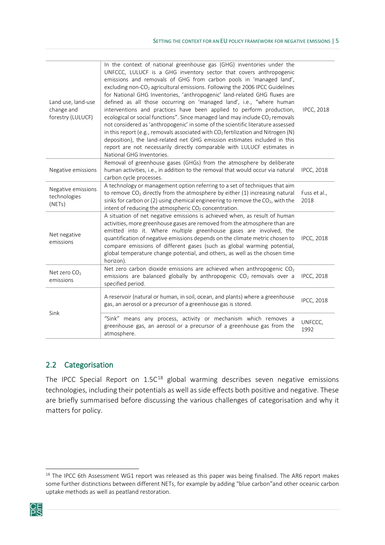| Land use, land-use<br>change and<br>forestry (LULUCF) | In the context of national greenhouse gas (GHG) inventories under the<br>UNFCCC, LULUCF is a GHG inventory sector that covers anthropogenic<br>emissions and removals of GHG from carbon pools in 'managed land',<br>excluding non-CO <sub>2</sub> agricultural emissions. Following the 2006 IPCC Guidelines<br>for National GHG Inventories, 'anthropogenic' land-related GHG fluxes are<br>defined as all those occurring on 'managed land', i.e., "where human<br>interventions and practices have been applied to perform production,<br>ecological or social functions". Since managed land may include CO <sub>2</sub> removals<br>not considered as 'anthropogenic' in some of the scientific literature assessed<br>in this report (e.g., removals associated with $CO2$ fertilization and Nitrogen (N)<br>deposition), the land-related net GHG emission estimates included in this<br>report are not necessarily directly comparable with LULUCF estimates in<br>National GHG Inventories. | <b>IPCC, 2018</b>    |
|-------------------------------------------------------|-------------------------------------------------------------------------------------------------------------------------------------------------------------------------------------------------------------------------------------------------------------------------------------------------------------------------------------------------------------------------------------------------------------------------------------------------------------------------------------------------------------------------------------------------------------------------------------------------------------------------------------------------------------------------------------------------------------------------------------------------------------------------------------------------------------------------------------------------------------------------------------------------------------------------------------------------------------------------------------------------------|----------------------|
| Negative emissions                                    | Removal of greenhouse gases (GHGs) from the atmosphere by deliberate<br>human activities, i.e., in addition to the removal that would occur via natural<br>carbon cycle processes.                                                                                                                                                                                                                                                                                                                                                                                                                                                                                                                                                                                                                                                                                                                                                                                                                    | <b>IPCC, 2018</b>    |
| Negative emissions<br>technologies<br>(NETs)          | A technology or management option referring to a set of techniques that aim<br>to remove $CO2$ directly from the atmosphere by either (1) increasing natural<br>sinks for carbon or (2) using chemical engineering to remove the CO <sub>2</sub> , with the<br>intent of reducing the atmospheric CO <sub>2</sub> concentration.                                                                                                                                                                                                                                                                                                                                                                                                                                                                                                                                                                                                                                                                      | Fuss et al.,<br>2018 |
| Net negative<br>emissions                             | A situation of net negative emissions is achieved when, as result of human<br>activities, more greenhouse gases are removed from the atmosphere than are<br>emitted into it. Where multiple greenhouse gases are involved, the<br>quantification of negative emissions depends on the climate metric chosen to<br>compare emissions of different gases (such as global warming potential,<br>global temperature change potential, and others, as well as the chosen time<br>horizon).                                                                                                                                                                                                                                                                                                                                                                                                                                                                                                                 | <b>IPCC, 2018</b>    |
| Net zero CO <sub>2</sub><br>emissions                 | Net zero carbon dioxide emissions are achieved when anthropogenic CO <sub>2</sub><br>emissions are balanced globally by anthropogenic CO <sub>2</sub> removals over a<br>specified period.                                                                                                                                                                                                                                                                                                                                                                                                                                                                                                                                                                                                                                                                                                                                                                                                            | <b>IPCC, 2018</b>    |
| Sink                                                  | A reservoir (natural or human, in soil, ocean, and plants) where a greenhouse<br>gas, an aerosol or a precursor of a greenhouse gas is stored.                                                                                                                                                                                                                                                                                                                                                                                                                                                                                                                                                                                                                                                                                                                                                                                                                                                        | <b>IPCC, 2018</b>    |
|                                                       | "Sink" means any process, activity or mechanism which removes a<br>greenhouse gas, an aerosol or a precursor of a greenhouse gas from the<br>atmosphere.                                                                                                                                                                                                                                                                                                                                                                                                                                                                                                                                                                                                                                                                                                                                                                                                                                              | UNFCCC,<br>1992      |

#### <span id="page-7-0"></span>2.2 Categorisation

The IPCC Special Report on 1.5C<sup>[18](#page-7-1)</sup> global warming describes seven negative emissions technologies, including their potentials as well as side effects both positive and negative. These are briefly summarised before discussing the various challenges of categorisation and why it matters for policy.

<span id="page-7-1"></span><sup>&</sup>lt;sup>18</sup> The IPCC 6th Assessment WG1 report was released as this paper was being finalised. The AR6 report makes some further distinctions between different NETs, for example by adding "blue carbon"and other oceanic carbon uptake methods as well as peatland restoration.

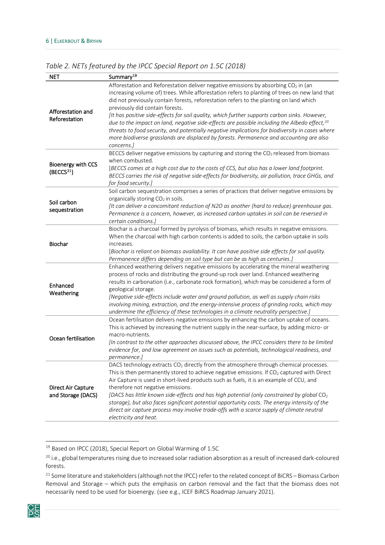| <b>NET</b>                                   | Summary <sup>19</sup>                                                                                                                                                                                                                                                                                                                                                                                                                                                                                                                                                                                                                                                                                                                                                                                                                                        |
|----------------------------------------------|--------------------------------------------------------------------------------------------------------------------------------------------------------------------------------------------------------------------------------------------------------------------------------------------------------------------------------------------------------------------------------------------------------------------------------------------------------------------------------------------------------------------------------------------------------------------------------------------------------------------------------------------------------------------------------------------------------------------------------------------------------------------------------------------------------------------------------------------------------------|
| Afforestation and<br>Reforestation           | Afforestation and Reforestation deliver negative emissions by absorbing CO <sub>2</sub> in (an<br>increasing volume of) trees. While afforestation refers to planting of trees on new land that<br>did not previously contain forests, reforestation refers to the planting on land which<br>previously did contain forests.<br>[It has positive side-effects for soil quality, which further supports carbon sinks. However,<br>due to the impact on land, negative side-effects are possible including the Albedo effect, <sup>20</sup><br>threats to food security, and potentially negative implications for biodiversity in cases where<br>more biodiverse grasslands are displaced by forests. Permanence and accounting are also<br>concerns.]<br>BECCS deliver negative emissions by capturing and storing the CO <sub>2</sub> released from biomass |
| Bioenergy with CCS<br>(BECCS <sup>21</sup> ) | when combusted.<br>[BECCS comes at a high cost due to the costs of CCS, but also has a lower land footprint.<br>BECCS carries the risk of negative side-effects for biodiversity, air pollution, trace GHGs, and<br>for food security.]                                                                                                                                                                                                                                                                                                                                                                                                                                                                                                                                                                                                                      |
| Soil carbon<br>sequestration                 | Soil carbon sequestration comprises a series of practices that deliver negative emissions by<br>organically storing CO <sub>2</sub> in soils.<br>[It can deliver a concomitant reduction of N2O as another (hard to reduce) greenhouse gas.<br>Permanence is a concern, however, as increased carbon uptakes in soil can be reversed in<br>certain conditions.]                                                                                                                                                                                                                                                                                                                                                                                                                                                                                              |
| Biochar                                      | Biochar is a charcoal formed by pyrolysis of biomass, which results in negative emissions.<br>When the charcoal with high carbon contents is added to soils, the carbon uptake in soils<br>increases.<br>[Biochar is reliant on biomass availability. It can have positive side effects for soil quality.<br>Permanence differs depending on soil type but can be as high as centuries.]                                                                                                                                                                                                                                                                                                                                                                                                                                                                     |
| Enhanced<br>Weathering                       | Enhanced weathering delivers negative emissions by accelerating the mineral weathering<br>process of rocks and distributing the ground-up rock over land. Enhanced weathering<br>results in carbonation (i.e., carbonate rock formation), which may be considered a form of<br>geological storage.<br>[Negative side-effects include water and ground pollution, as well as supply chain risks<br>involving mining, extraction, and the energy-intensive process of grinding rocks, which may<br>undermine the efficiency of these technologies in a climate neutrality perspective.]                                                                                                                                                                                                                                                                        |
| Ocean fertilisation                          | Ocean fertilisation delivers negative emissions by enhancing the carbon uptake of oceans.<br>This is achieved by increasing the nutrient supply in the near-surface, by adding micro- or<br>macro-nutrients.<br>[In contrast to the other approaches discussed above, the IPCC considers there to be limited<br>evidence for, and low agreement on issues such as potentials, technological readiness, and<br>permanence.]                                                                                                                                                                                                                                                                                                                                                                                                                                   |
| Direct Air Capture<br>and Storage (DACS)     | DACS technology extracts $CO2$ directly from the atmosphere through chemical processes.<br>This is then permanently stored to achieve negative emissions. If CO <sub>2</sub> captured with Direct<br>Air Capture is used in short-lived products such as fuels, it is an example of CCU, and<br>therefore not negative emissions.<br>[DACS has little known side-effects and has high potential (only constrained by global $CO2$<br>storage), but also faces significant potential opportunity costs. The energy intensity of the<br>direct air capture process may involve trade-offs with a scarce supply of climate neutral<br>electricity and heat.                                                                                                                                                                                                     |

<span id="page-8-0"></span>*Table 2. NETs featured by the IPCC Special Report on 1.5C (2018)*

<span id="page-8-3"></span><span id="page-8-2"></span><span id="page-8-1"></span><sup>&</sup>lt;sup>21</sup> Some literature and stakeholders (although not the IPCC) refer to the related concept of BiCRS – Biomass Carbon Removal and Storage – which puts the emphasis on carbon removal and the fact that the biomass does not necessarily need to be used for bioenergy. (see e.g., ICEF BiRCS Roadmap January 2021).



<sup>&</sup>lt;sup>19</sup> Based on IPCC (2018), Special Report on Global Warming of 1.5C

<sup>&</sup>lt;sup>20</sup> i.e., global temperatures rising due to increased solar radiation absorption as a result of increased dark-coloured forests.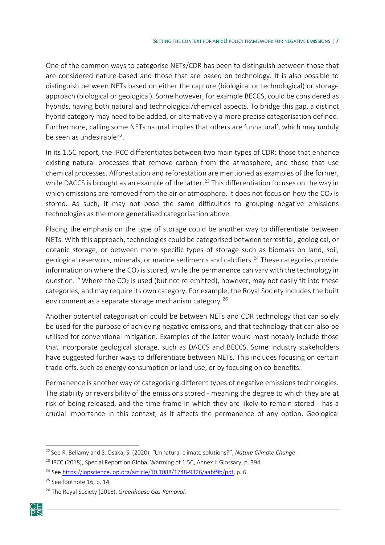One of the common ways to categorise NETs/CDR has been to distinguish between those that are considered nature-based and those that are based on technology. It is also possible to distinguish between NETs based on either the capture (biological or technological) or storage approach (biological or geological). Some however, for example BECCS, could be considered as hybrids, having both natural and technological/chemical aspects. To bridge this gap, a distinct hybrid category may need to be added, or alternatively a more precise categorisation defined. Furthermore, calling some NETs natural implies that others are 'unnatural', which may unduly be seen as undesirable<sup>[22](#page-9-0)</sup>.

In its 1.5C report, the IPCC differentiates between two main types of CDR: those that enhance existing natural processes that remove carbon from the atmosphere, and those that use chemical processes. Afforestation and reforestation are mentioned as examples of the former, while DACCS is brought as an example of the latter.<sup>[23](#page-9-1)</sup> This differentiation focuses on the way in which emissions are removed from the air or atmosphere. It does not focus on how the  $CO<sub>2</sub>$  is stored. As such, it may not pose the same difficulties to grouping negative emissions technologies as the more generalised categorisation above.

Placing the emphasis on the type of storage could be another way to differentiate between NETs. With this approach, technologies could be categorised between terrestrial, geological, or oceanic storage, or between more specific types of storage such as biomass on land, soil, geological reservoirs, minerals, or marine sediments and calcifiers. [24](#page-9-2) These categories provide information on where the  $CO<sub>2</sub>$  is stored, while the permanence can vary with the technology in question.<sup>[25](#page-9-3)</sup> Where the  $CO<sub>2</sub>$  is used (but not re-emitted), however, may not easily fit into these categories, and may require its own category. For example, the Royal Society includes the built environment as a separate storage mechanism category. [26](#page-9-4)

Another potential categorisation could be between NETs and CDR technology that can solely be used for the purpose of achieving negative emissions, and that technology that can also be utilised for conventional mitigation. Examples of the latter would most notably include those that incorporate geological storage, such as DACCS and BECCS. Some industry stakeholders have suggested further ways to differentiate between NETs. This includes focusing on certain trade-offs, such as energy consumption or land use, or by focusing on co-benefits.

Permanence is another way of categorising different types of negative emissions technologies. The stability or reversibility of the emissions stored - meaning the degree to which they are at risk of being released, and the time frame in which they are likely to remain stored - has a crucial importance in this context, as it affects the permanence of any option. Geological

<span id="page-9-4"></span><span id="page-9-3"></span><span id="page-9-2"></span><span id="page-9-1"></span><sup>26</sup> The Royal Society (2018), *Greenhouse Gas Removal*.



<span id="page-9-0"></span><sup>22</sup> See R. Bellamy and S. Osaka, S. (2020), "Unnatural climate solutions?", *Nature Climate Change*.

<sup>&</sup>lt;sup>23</sup> IPCC (2018), Special Report on Global Warming of 1.5C, Annex I: Glossary, p. 394.

<sup>&</sup>lt;sup>24</sup> See [https://iopscience.iop.org/article/10.1088/1748](https://iopscience.iop.org/article/10.1088/1748-9326/aabf9b/pdf)-9326/aabf9b/pdf, p. 6.

<sup>&</sup>lt;sup>25</sup> See footnote 16, p. 14.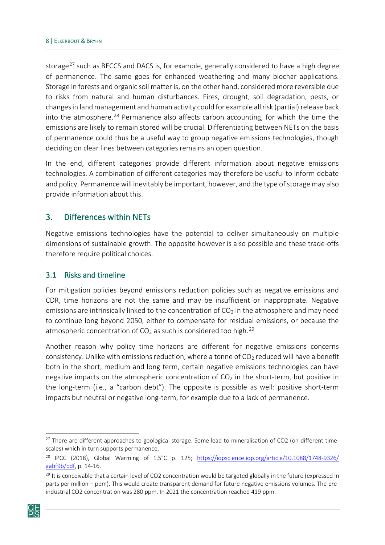storage<sup>[27](#page-10-2)</sup> such as BECCS and DACS is, for example, generally considered to have a high degree of permanence. The same goes for enhanced weathering and many biochar applications. Storage in forests and organic soil matter is, on the other hand, considered more reversible due to risks from natural and human disturbances. Fires, drought, soil degradation, pests, or changes in land management and human activity could for example all risk (partial) release back into the atmosphere.<sup>[28](#page-10-3)</sup> Permanence also affects carbon accounting, for which the time the emissions are likely to remain stored will be crucial. Differentiating between NETs on the basis of permanence could thus be a useful way to group negative emissions technologies, though deciding on clear lines between categories remains an open question.

In the end, different categories provide different information about negative emissions technologies. A combination of different categories may therefore be useful to inform debate and policy. Permanence will inevitably be important, however, and the type of storage may also provide information about this.

#### <span id="page-10-0"></span>3. Differences within NETs

Negative emissions technologies have the potential to deliver simultaneously on multiple dimensions of sustainable growth. The opposite however is also possible and these trade-offs therefore require political choices.

#### <span id="page-10-1"></span>3.1 Risks and timeline

For mitigation policies beyond emissions reduction policies such as negative emissions and CDR, time horizons are not the same and may be insufficient or inappropriate. Negative emissions are intrinsically linked to the concentration of  $CO<sub>2</sub>$  in the atmosphere and may need to continue long beyond 2050, either to compensate for residual emissions, or because the atmospheric concentration of  $CO<sub>2</sub>$  as such is considered too high.<sup>[29](#page-10-4)</sup>

Another reason why policy time horizons are different for negative emissions concerns consistency. Unlike with emissions reduction, where a tonne of  $CO<sub>2</sub>$  reduced will have a benefit both in the short, medium and long term, certain negative emissions technologies can have negative impacts on the atmospheric concentration of  $CO<sub>2</sub>$  in the short-term, but positive in the long-term (i.e., a "carbon debt"). The opposite is possible as well: positive short-term impacts but neutral or negative long-term, for example due to a lack of permanence.

<span id="page-10-4"></span><span id="page-10-3"></span><span id="page-10-2"></span> $29$  It is conceivable that a certain level of CO2 concentration would be targeted globally in the future (expressed in parts per million – ppm). This would create transparent demand for future negative emissions volumes. The preindustrial CO2 concentration was 280 ppm. In 2021 the concentration reached 419 ppm.



<sup>&</sup>lt;sup>27</sup> There are different approaches to geological storage. Some lead to mineralisation of CO2 (on different timescales) which in turn supports permanence.

<sup>&</sup>lt;sup>28</sup> IPCC (2018), Global Warming of 1.5°C p. 125; [https://iopscience.iop.org/article/10.1088/1748](https://iopscience.iop.org/article/10.1088/1748-9326/aabf9b/pdf)-9326/ [aabf9b/pdf,](https://iopscience.iop.org/article/10.1088/1748-9326/aabf9b/pdf) p. 14-16.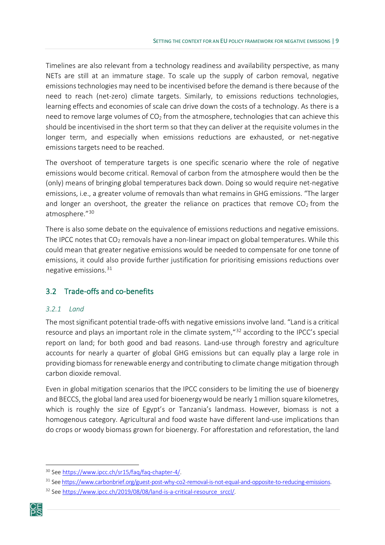Timelines are also relevant from a technology readiness and availability perspective, as many NETs are still at an immature stage. To scale up the supply of carbon removal, negative emissions technologies may need to be incentivised before the demand is there because of the need to reach (net-zero) climate targets. Similarly, to emissions reductions technologies, learning effects and economies of scale can drive down the costs of a technology. As there is a need to remove large volumes of  $CO<sub>2</sub>$  from the atmosphere, technologies that can achieve this should be incentivised in the short term so that they can deliver at the requisite volumes in the longer term, and especially when emissions reductions are exhausted, or net-negative emissions targets need to be reached.

The overshoot of temperature targets is one specific scenario where the role of negative emissions would become critical. Removal of carbon from the atmosphere would then be the (only) means of bringing global temperatures back down. Doing so would require net-negative emissions, i.e., a greater volume of removals than what remains in GHG emissions. "The larger and longer an overshoot, the greater the reliance on practices that remove  $CO<sub>2</sub>$  from the atmosphere."[30](#page-11-2)

There is also some debate on the equivalence of emissions reductions and negative emissions. The IPCC notes that  $CO<sub>2</sub>$  removals have a non-linear impact on global temperatures. While this could mean that greater negative emissions would be needed to compensate for one tonne of emissions, it could also provide further justification for prioritising emissions reductions over negative emissions. $31$ 

#### <span id="page-11-0"></span>3.2 Trade-offs and co-benefits

#### <span id="page-11-1"></span>*3.2.1 Land*

The most significant potential trade-offs with negative emissions involve land. "Land is a critical resource and plays an important role in the climate system, "[32](#page-11-4) according to the IPCC's special report on land; for both good and bad reasons. Land-use through forestry and agriculture accounts for nearly a quarter of global GHG emissions but can equally play a large role in providing biomass for renewable energy and contributing to climate change mitigation through carbon dioxide removal.

Even in global mitigation scenarios that the IPCC considers to be limiting the use of bioenergy and BECCS, the global land area used for bioenergy would be nearly 1 million square kilometres, which is roughly the size of Egypt's or Tanzania's landmass. However, biomass is not a homogenous category. Agricultural and food waste have different land-use implications than do crops or woody biomass grown for bioenergy. For afforestation and reforestation, the land

<span id="page-11-4"></span><span id="page-11-3"></span><span id="page-11-2"></span><sup>&</sup>lt;sup>32</sup> See [https://www.ipcc.ch/2019/08/08/land](https://www.ipcc.ch/2019/08/08/land-is-a-critical-resource_srccl/)-is-a-critical-resource\_srccl/.



<sup>30</sup> See [https://www.ipcc.ch/sr15/faq/faq](https://www.ipcc.ch/sr15/faq/faq-chapter-4/)-chapter-4/.

<sup>&</sup>lt;sup>31</sup> See https://www.carbonbrief.org/guest[-post-why-co2-removal-is-not-equal-and-opposite-to-reducing-emissions.](https://www.carbonbrief.org/guest-post-why-co2-removal-is-not-equal-and-opposite-to-reducing-emissions)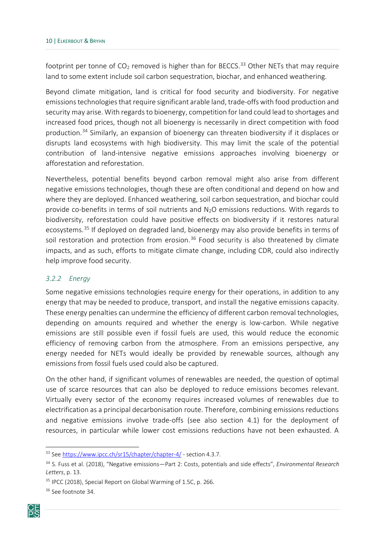footprint per tonne of  $CO_2$  removed is higher than for BECCS.<sup>[33](#page-12-1)</sup> Other NETs that may require land to some extent include soil carbon sequestration, biochar, and enhanced weathering.

Beyond climate mitigation, land is critical for food security and biodiversity. For negative emissions technologies that require significant arable land, trade-offs with food production and security may arise. With regards to bioenergy, competition for land could lead to shortages and increased food prices, though not all bioenergy is necessarily in direct competition with food production.[34](#page-12-2) Similarly, an expansion of bioenergy can threaten biodiversity if it displaces or disrupts land ecosystems with high biodiversity. This may limit the scale of the potential contribution of land-intensive negative emissions approaches involving bioenergy or afforestation and reforestation.

Nevertheless, potential benefits beyond carbon removal might also arise from different negative emissions technologies, though these are often conditional and depend on how and where they are deployed. Enhanced weathering, soil carbon sequestration, and biochar could provide co-benefits in terms of soil nutrients and N<sub>2</sub>O emissions reductions. With regards to biodiversity, reforestation could have positive effects on biodiversity if it restores natural ecosystems.<sup>[35](#page-12-3)</sup> If deployed on degraded land, bioenergy may also provide benefits in terms of soil restoration and protection from erosion.<sup>[36](#page-12-4)</sup> Food security is also threatened by climate impacts, and as such, efforts to mitigate climate change, including CDR, could also indirectly help improve food security.

#### <span id="page-12-0"></span>*3.2.2 Energy*

Some negative emissions technologies require energy for their operations, in addition to any energy that may be needed to produce, transport, and install the negative emissions capacity. These energy penalties can undermine the efficiency of different carbon removal technologies, depending on amounts required and whether the energy is low-carbon. While negative emissions are still possible even if fossil fuels are used, this would reduce the economic efficiency of removing carbon from the atmosphere. From an emissions perspective, any energy needed for NETs would ideally be provided by renewable sources, although any emissions from fossil fuels used could also be captured.

On the other hand, if significant volumes of renewables are needed, the question of optimal use of scarce resources that can also be deployed to reduce emissions becomes relevant. Virtually every sector of the economy requires increased volumes of renewables due to electrification as a principal decarbonisation route. Therefore, combining emissions reductions and negative emissions involve trade-offs (see also section 4.1) for the deployment of resources, in particular while lower cost emissions reductions have not been exhausted. A

<span id="page-12-4"></span><span id="page-12-3"></span><span id="page-12-2"></span><span id="page-12-1"></span><sup>&</sup>lt;sup>36</sup> See footnote 34.



<sup>&</sup>lt;sup>33</sup> See [https://www.ipcc.ch/sr15/chapter/chapter](https://www.ipcc.ch/sr15/chapter/chapter-4/)-4/ - section 4.3.7.

<sup>34</sup> S. Fuss et al. (2018), "Negative emissions—Part 2: Costs, potentials and side effects", *Environmental Research Letters*, p. 13.

<sup>&</sup>lt;sup>35</sup> IPCC (2018), Special Report on Global Warming of 1.5C, p. 266.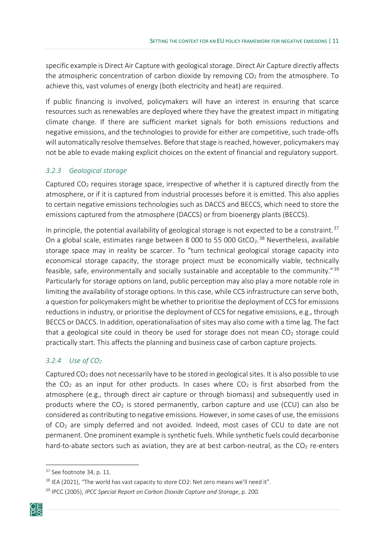specific example is Direct Air Capture with geological storage. Direct Air Capture directly affects the atmospheric concentration of carbon dioxide by removing  $CO<sub>2</sub>$  from the atmosphere. To achieve this, vast volumes of energy (both electricity and heat) are required.

If public financing is involved, policymakers will have an interest in ensuring that scarce resources such as renewables are deployed where they have the greatest impact in mitigating climate change. If there are sufficient market signals for both emissions reductions and negative emissions, and the technologies to provide for either are competitive, such trade-offs will automatically resolve themselves. Before that stage is reached, however, policymakers may not be able to evade making explicit choices on the extent of financial and regulatory support.

#### <span id="page-13-0"></span>*3.2.3 Geological storage*

Captured  $CO<sub>2</sub>$  requires storage space, irrespective of whether it is captured directly from the atmosphere, or if it is captured from industrial processes before it is emitted. This also applies to certain negative emissions technologies such as DACCS and BECCS, which need to store the emissions captured from the atmosphere (DACCS) or from bioenergy plants (BECCS).

In principle, the potential availability of geological storage is not expected to be a constraint.<sup>[37](#page-13-2)</sup> On a global scale, estimates range between 8 000 to 55 000 GtCO<sub>2</sub>.<sup>[38](#page-13-3)</sup> Nevertheless, available storage space may in reality be scarcer. To "turn technical geological storage capacity into economical storage capacity, the storage project must be economically viable, technically feasible, safe, environmentally and socially sustainable and acceptable to the community."[39](#page-13-4) Particularly for storage options on land, public perception may also play a more notable role in limiting the availability of storage options. In this case, while CCS infrastructure can serve both, a question for policymakers might be whether to prioritise the deployment of CCS for emissions reductions in industry, or prioritise the deployment of CCS for negative emissions, e.g., through BECCS or DACCS. In addition, operationalisation of sites may also come with a time lag. The fact that a geological site could in theory be used for storage does not mean  $CO<sub>2</sub>$  storage could practically start. This affects the planning and business case of carbon capture projects.

#### <span id="page-13-1"></span>*3.2.4 Use of CO2*

Captured  $CO<sub>2</sub>$  does not necessarily have to be stored in geological sites. It is also possible to use the CO<sub>2</sub> as an input for other products. In cases where CO<sub>2</sub> is first absorbed from the atmosphere (e.g., through direct air capture or through biomass) and subsequently used in products where the  $CO<sub>2</sub>$  is stored permanently, carbon capture and use (CCU) can also be considered as contributing to negative emissions. However, in some cases of use, the emissions of CO2 are simply deferred and not avoided. Indeed, most cases of CCU to date are not permanent. One prominent example is synthetic fuels. While synthetic fuels could decarbonise hard-to-abate sectors such as aviation, they are at best carbon-neutral, as the  $CO<sub>2</sub>$  re-enters

<span id="page-13-4"></span><span id="page-13-3"></span><span id="page-13-2"></span><sup>39</sup> IPCC (2005), *IPCC Special Report on Carbon Dioxide Capture and Storage*, p. 200.



<sup>&</sup>lt;sup>37</sup> See footnote 34, p. 11.

<sup>&</sup>lt;sup>38</sup> IEA (2021), "The world has vast capacity to store CO2: Net zero means we'll need it".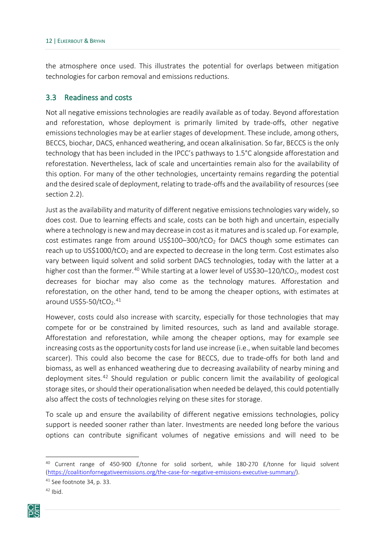the atmosphere once used. This illustrates the potential for overlaps between mitigation technologies for carbon removal and emissions reductions.

#### <span id="page-14-0"></span>3.3 Readiness and costs

Not all negative emissions technologies are readily available as of today. Beyond afforestation and reforestation, whose deployment is primarily limited by trade-offs, other negative emissions technologies may be at earlier stages of development. These include, among others, BECCS, biochar, DACS, enhanced weathering, and ocean alkalinisation. So far, BECCS is the only technology that has been included in the IPCC's pathways to 1.5°C alongside afforestation and reforestation. Nevertheless, lack of scale and uncertainties remain also for the availability of this option. For many of the other technologies, uncertainty remains regarding the potential and the desired scale of deployment, relating to trade-offs and the availability of resources (see section [2.2\)](#page-11-0).

Just as the availability and maturity of different negative emissions technologies vary widely, so does cost. Due to learning effects and scale, costs can be both high and uncertain, especially where a technology is new and may decrease in cost as it matures and is scaled up. For example, cost estimates range from around US\$100–300/tCO<sub>2</sub> for DACS though some estimates can reach up to US\$1000/tCO<sub>2</sub> and are expected to decrease in the long term. Cost estimates also vary between liquid solvent and solid sorbent DACS technologies, today with the latter at a higher cost than the former.<sup>[40](#page-14-1)</sup> While starting at a lower level of US\$30-120/tCO<sub>2</sub>, modest cost decreases for biochar may also come as the technology matures. Afforestation and reforestation, on the other hand, tend to be among the cheaper options, with estimates at around US\$5-50/tCO<sub>2</sub>.<sup>[41](#page-14-2)</sup>

However, costs could also increase with scarcity, especially for those technologies that may compete for or be constrained by limited resources, such as land and available storage. Afforestation and reforestation, while among the cheaper options, may for example see increasing costs as the opportunity costs for land use increase (i.e., when suitable land becomes scarcer). This could also become the case for BECCS, due to trade-offs for both land and biomass, as well as enhanced weathering due to decreasing availability of nearby mining and deployment sites.<sup>[42](#page-14-3)</sup> Should regulation or public concern limit the availability of geological storage sites, or should their operationalisation when needed be delayed, this could potentially also affect the costs of technologies relying on these sites for storage.

To scale up and ensure the availability of different negative emissions technologies, policy support is needed sooner rather than later. Investments are needed long before the various options can contribute significant volumes of negative emissions and will need to be

<span id="page-14-3"></span><span id="page-14-2"></span><span id="page-14-1"></span> $42$  Ibid.



 $40$  Current range of 450-900 £/tonne for solid sorbent, while 180-270 £/tonne for liquid solvent ([https://coalitionfornegativeemissions.org/the](https://coalitionfornegativeemissions.org/the-case-for-negative-emissions-executive-summary/)-case-for-negative-emissions-executive-summary/).

<sup>41</sup> See footnote 34, p. 33.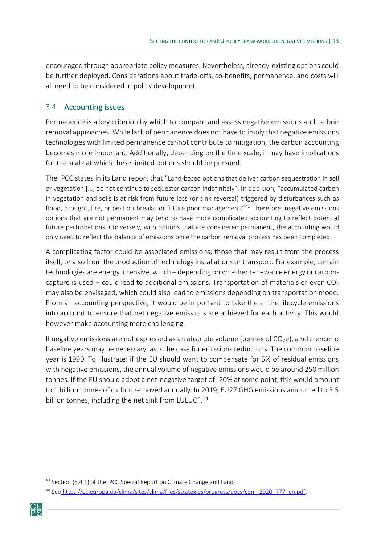encouraged through appropriate policy measures. Nevertheless, already-existing options could be further deployed. Considerations about trade-offs, co-benefits, permanence, and costs will all need to be considered in policy development.

#### <span id="page-15-0"></span>3.4 Accounting issues

Permanence is a key criterion by which to compare and assess negative emissions and carbon removal approaches. While lack of permanence does not have to imply that negative emissions technologies with limited permanence cannot contribute to mitigation, the carbon accounting becomes more important. Additionally, depending on the time scale, it may have implications for the scale at which these limited options should be pursued.

The IPCC states in its Land report that "Land-based options that deliver carbon sequestration in soil or vegetation […] do not continue to sequester carbon indefinitely". In addition, "accumulated carbon in vegetation and soils is at risk from future loss (or sink reversal) triggered by disturbances such as flood, drought, fire, or pest outbreaks, or future poor management."<sup>[43](#page-15-1)</sup> Therefore, negative emissions options that are not permanent may tend to have more complicated accounting to reflect potential future perturbations. Conversely, with options that are considered permanent, the accounting would only need to reflect the balance of emissions once the carbon removal process has been completed.

A complicating factor could be associated emissions; those that may result from the process itself, or also from the production of technology installations or transport. For example, certain technologies are energy intensive, which – depending on whether renewable energy or carboncapture is used – could lead to additional emissions. Transportation of materials or even  $CO<sub>2</sub>$ may also be envisaged, which could also lead to emissions depending on transportation mode. From an accounting perspective, it would be important to take the entire lifecycle emissions into account to ensure that net negative emissions are achieved for each activity. This would however make accounting more challenging.

If negative emissions are not expressed as an absolute volume (tonnes of  $CO<sub>2</sub>e$ ), a reference to baseline years may be necessary, as is the case for emissions reductions. The common baseline year is 1990. To illustrate: if the EU should want to compensate for 5% of residual emissions with negative emissions, the annual volume of negative emissions would be around 250 million tonnes. If the EU should adopt a net-negative target of -20% at some point, this would amount to 1 billion tonnes of carbon removed annually. In 2019, EU27 GHG emissions amounted to 3.5 billion tonnes, including the net sink from LULUCF.<sup>[44](#page-15-2)</sup>

<span id="page-15-2"></span><span id="page-15-1"></span><sup>44</sup> See [https://ec.europa.eu/clima/sites/clima/files/strategies/progress/docs/com\\_2020\\_777\\_en.pdf](https://ec.europa.eu/clima/sites/clima/files/strategies/progress/docs/com_2020_777_en.pdf).



<sup>&</sup>lt;sup>43</sup> Section {6.4.1} of the IPCC Special Report on Climate Change and Land.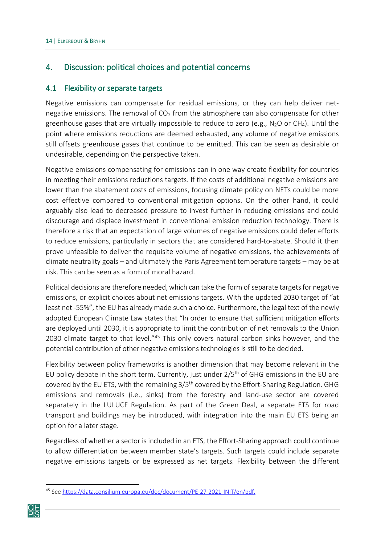#### <span id="page-16-0"></span>4. Discussion: political choices and potential concerns

#### <span id="page-16-1"></span>4.1 Flexibility or separate targets

Negative emissions can compensate for residual emissions, or they can help deliver netnegative emissions. The removal of  $CO<sub>2</sub>$  from the atmosphere can also compensate for other greenhouse gases that are virtually impossible to reduce to zero (e.g.,  $N_2O$  or CH<sub>4</sub>). Until the point where emissions reductions are deemed exhausted, any volume of negative emissions still offsets greenhouse gases that continue to be emitted. This can be seen as desirable or undesirable, depending on the perspective taken.

Negative emissions compensating for emissions can in one way create flexibility for countries in meeting their emissions reductions targets. If the costs of additional negative emissions are lower than the abatement costs of emissions, focusing climate policy on NETs could be more cost effective compared to conventional mitigation options. On the other hand, it could arguably also lead to decreased pressure to invest further in reducing emissions and could discourage and displace investment in conventional emission reduction technology. There is therefore a risk that an expectation of large volumes of negative emissions could defer efforts to reduce emissions, particularly in sectors that are considered hard-to-abate. Should it then prove unfeasible to deliver the requisite volume of negative emissions, the achievements of climate neutrality goals – and ultimately the Paris Agreement temperature targets – may be at risk. This can be seen as a form of moral hazard.

Political decisions are therefore needed, which can take the form of separate targets for negative emissions, or explicit choices about net emissions targets. With the updated 2030 target of "at least net -55%", the EU has already made such a choice. Furthermore, the legal text of the newly adopted European Climate Law states that "In order to ensure that sufficient mitigation efforts are deployed until 2030, it is appropriate to limit the contribution of net removals to the Union 2030 climate target to that level."<sup>45</sup> This only covers natural carbon sinks however, and the potential contribution of other negative emissions technologies is still to be decided.

Flexibility between policy frameworks is another dimension that may become relevant in the EU policy debate in the short term. Currently, just under  $2/5<sup>th</sup>$  of GHG emissions in the EU are covered by the EU ETS, with the remaining 3/5<sup>th</sup> covered by the Effort-Sharing Regulation. GHG emissions and removals (i.e., sinks) from the forestry and land-use sector are covered separately in the LULUCF Regulation. As part of the Green Deal, a separate ETS for road transport and buildings may be introduced, with integration into the main EU ETS being an option for a later stage.

Regardless of whether a sector is included in an ETS, the Effort-Sharing approach could continue to allow differentiation between member state's targets. Such targets could include separate negative emissions targets or be expressed as net targets. Flexibility between the different

<span id="page-16-2"></span><sup>45</sup> See [https://data.consilium.europa.eu/doc/document/PE](https://data.consilium.europa.eu/doc/document/PE-27-2021-INIT/en/pdf)-27-2021-INIT/en/pdf.

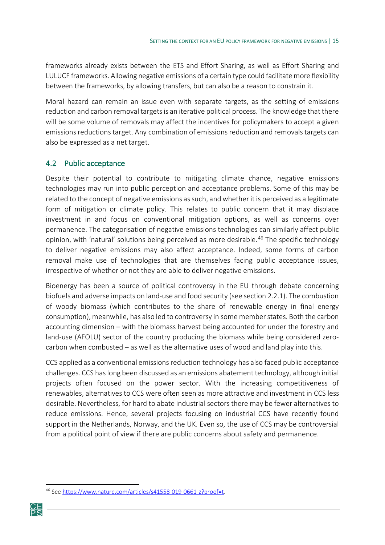frameworks already exists between the ETS and Effort Sharing, as well as Effort Sharing and LULUCF frameworks. Allowing negative emissions of a certain type could facilitate more flexibility between the frameworks, by allowing transfers, but can also be a reason to constrain it.

Moral hazard can remain an issue even with separate targets, as the setting of emissions reduction and carbon removal targets is an iterative political process. The knowledge that there will be some volume of removals may affect the incentives for policymakers to accept a given emissions reductions target. Any combination of emissions reduction and removals targets can also be expressed as a net target.

#### <span id="page-17-0"></span>4.2 Public acceptance

Despite their potential to contribute to mitigating climate chance, negative emissions technologies may run into public perception and acceptance problems. Some of this may be related to the concept of negative emissions as such, and whether it is perceived as a legitimate form of mitigation or climate policy. This relates to public concern that it may displace investment in and focus on conventional mitigation options, as well as concerns over permanence. The categorisation of negative emissions technologies can similarly affect public opinion, with 'natural' solutions being perceived as more desirable. [46](#page-17-1) The specific technology to deliver negative emissions may also affect acceptance. Indeed, some forms of carbon removal make use of technologies that are themselves facing public acceptance issues, irrespective of whether or not they are able to deliver negative emissions.

Bioenergy has been a source of political controversy in the EU through debate concerning biofuels and adverse impacts on land-use and food security (see section [2.2.1](#page-11-0)). The combustion of woody biomass (which contributes to the share of renewable energy in final energy consumption), meanwhile, has also led to controversy in some member states. Both the carbon accounting dimension – with the biomass harvest being accounted for under the forestry and land-use (AFOLU) sector of the country producing the biomass while being considered zerocarbon when combusted – as well as the alternative uses of wood and land play into this.

CCS applied as a conventional emissions reduction technology has also faced public acceptance challenges. CCS has long been discussed as an emissions abatement technology, although initial projects often focused on the power sector. With the increasing competitiveness of renewables, alternatives to CCS were often seen as more attractive and investment in CCS less desirable. Nevertheless, for hard to abate industrial sectors there may be fewer alternatives to reduce emissions. Hence, several projects focusing on industrial CCS have recently found support in the Netherlands, Norway, and the UK. Even so, the use of CCS may be controversial from a political point of view if there are public concerns about safety and permanence.

<span id="page-17-1"></span><sup>46</sup> See [https://www.nature.com/articles/s41558](https://www.nature.com/articles/s41558-019-0661-z?proof=t)-019-0661-z?proof=t.

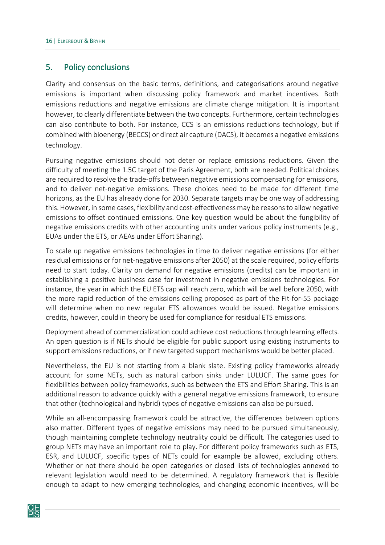#### <span id="page-18-0"></span>5. Policy conclusions

Clarity and consensus on the basic terms, definitions, and categorisations around negative emissions is important when discussing policy framework and market incentives. Both emissions reductions and negative emissions are climate change mitigation. It is important however, to clearly differentiate between the two concepts. Furthermore, certain technologies can also contribute to both. For instance, CCS is an emissions reductions technology, but if combined with bioenergy (BECCS) or direct air capture (DACS), it becomes a negative emissions technology.

Pursuing negative emissions should not deter or replace emissions reductions. Given the difficulty of meeting the 1.5C target of the Paris Agreement, both are needed. Political choices are required to resolve the trade-offs between negative emissions compensating for emissions, and to deliver net-negative emissions. These choices need to be made for different time horizons, as the EU has already done for 2030. Separate targets may be one way of addressing this. However, in some cases, flexibility and cost-effectiveness may be reasons to allow negative emissions to offset continued emissions. One key question would be about the fungibility of negative emissions credits with other accounting units under various policy instruments (e.g., EUAs under the ETS, or AEAs under Effort Sharing).

To scale up negative emissions technologies in time to deliver negative emissions (for either residual emissions or for net-negative emissions after 2050) at the scale required, policy efforts need to start today. Clarity on demand for negative emissions (credits) can be important in establishing a positive business case for investment in negative emissions technologies. For instance, the year in which the EU ETS cap will reach zero, which will be well before 2050, with the more rapid reduction of the emissions ceiling proposed as part of the Fit-for-55 package will determine when no new regular ETS allowances would be issued. Negative emissions credits, however, could in theory be used for compliance for residual ETS emissions.

Deployment ahead of commercialization could achieve cost reductions through learning effects. An open question is if NETs should be eligible for public support using existing instruments to support emissions reductions, or if new targeted support mechanisms would be better placed.

Nevertheless, the EU is not starting from a blank slate. Existing policy frameworks already account for some NETs, such as natural carbon sinks under LULUCF. The same goes for flexibilities between policy frameworks, such as between the ETS and Effort Sharing. This is an additional reason to advance quickly with a general negative emissions framework, to ensure that other (technological and hybrid) types of negative emissions can also be pursued.

While an all-encompassing framework could be attractive, the differences between options also matter. Different types of negative emissions may need to be pursued simultaneously, though maintaining complete technology neutrality could be difficult. The categories used to group NETs may have an important role to play. For different policy frameworks such as ETS, ESR, and LULUCF, specific types of NETs could for example be allowed, excluding others. Whether or not there should be open categories or closed lists of technologies annexed to relevant legislation would need to be determined. A regulatory framework that is flexible enough to adapt to new emerging technologies, and changing economic incentives, will be

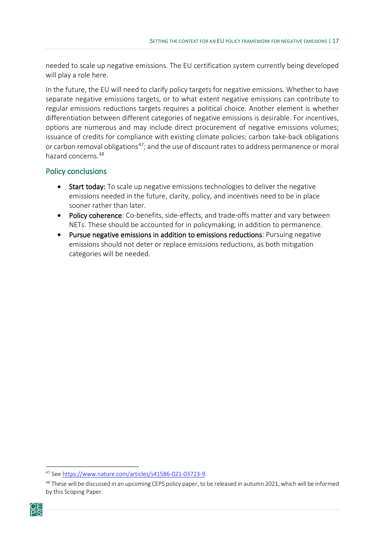needed to scale up negative emissions. The EU certification system currently being developed will play a role here.

In the future, the EU will need to clarify policy targets for negative emissions. Whether to have separate negative emissions targets, or to what extent negative emissions can contribute to regular emissions reductions targets requires a political choice. Another element is whether differentiation between different categories of negative emissions is desirable. For incentives, options are numerous and may include direct procurement of negative emissions volumes; issuance of credits for compliance with existing climate policies; carbon take-back obligations or carbon removal obligations<sup>[47](#page-19-0)</sup>; and the use of discount rates to address permanence or moral hazard concerns.[48](#page-19-1)

#### Policy conclusions

- Start today: To scale up negative emissions technologies to deliver the negative emissions needed in the future, clarity, policy, and incentives need to be in place sooner rather than later.
- Policy coherence: Co-benefits, side-effects, and trade-offs matter and vary between NETs. These should be accounted for in policymaking, in addition to permanence.
- Pursue negative emissions in addition to emissions reductions: Pursuing negative emissions should not deter or replace emissions reductions, as both mitigation categories will be needed.

<span id="page-19-1"></span><span id="page-19-0"></span><sup>&</sup>lt;sup>48</sup> These will be discussed in an upcoming CEPS policy paper, to be released in autumn 2021, which will be informed by this Scoping Paper.



<sup>47</sup> See [https://www.nature.com/articles/s41586](https://www.nature.com/articles/s41586-021-03723-9)-021-03723-9.